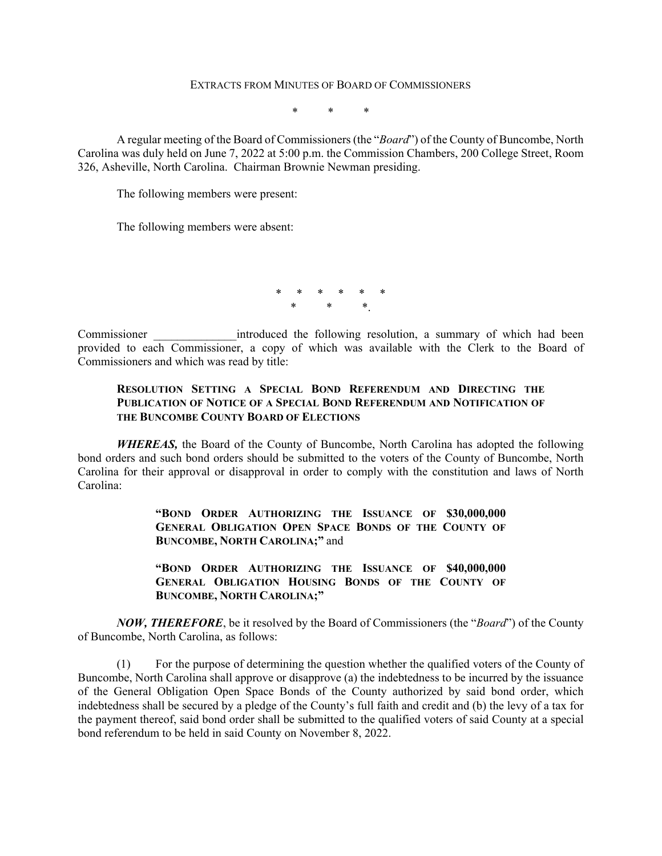#### EXTRACTS FROM MINUTES OF BOARD OF COMMISSIONERS

\* \* \*

A regular meeting of the Board of Commissioners (the "*Board*") of the County of Buncombe, North Carolina was duly held on June 7, 2022 at 5:00 p.m. the Commission Chambers, 200 College Street, Room 326, Asheville, North Carolina. Chairman Brownie Newman presiding.

The following members were present:

The following members were absent:

\* \* \* \* \* \* \* \* \*.

Commissioner **Example 1** introduced the following resolution, a summary of which had been provided to each Commissioner, a copy of which was available with the Clerk to the Board of Commissioners and which was read by title:

# **RESOLUTION SETTING A SPECIAL BOND REFERENDUM AND DIRECTING THE PUBLICATION OF NOTICE OF A SPECIAL BOND REFERENDUM AND NOTIFICATION OF THE BUNCOMBE COUNTY BOARD OF ELECTIONS**

*WHEREAS,* the Board of the County of Buncombe, North Carolina has adopted the following bond orders and such bond orders should be submitted to the voters of the County of Buncombe, North Carolina for their approval or disapproval in order to comply with the constitution and laws of North Carolina:

> **"BOND ORDER AUTHORIZING THE ISSUANCE OF \$30,000,000 GENERAL OBLIGATION OPEN SPACE BONDS OF THE COUNTY OF BUNCOMBE, NORTH CAROLINA;"** and

> **"BOND ORDER AUTHORIZING THE ISSUANCE OF \$40,000,000 GENERAL OBLIGATION HOUSING BONDS OF THE COUNTY OF BUNCOMBE, NORTH CAROLINA;"**

*NOW, THEREFORE*, be it resolved by the Board of Commissioners (the "*Board*") of the County of Buncombe, North Carolina, as follows:

 (1) For the purpose of determining the question whether the qualified voters of the County of Buncombe, North Carolina shall approve or disapprove (a) the indebtedness to be incurred by the issuance of the General Obligation Open Space Bonds of the County authorized by said bond order, which indebtedness shall be secured by a pledge of the County's full faith and credit and (b) the levy of a tax for the payment thereof, said bond order shall be submitted to the qualified voters of said County at a special bond referendum to be held in said County on November 8, 2022.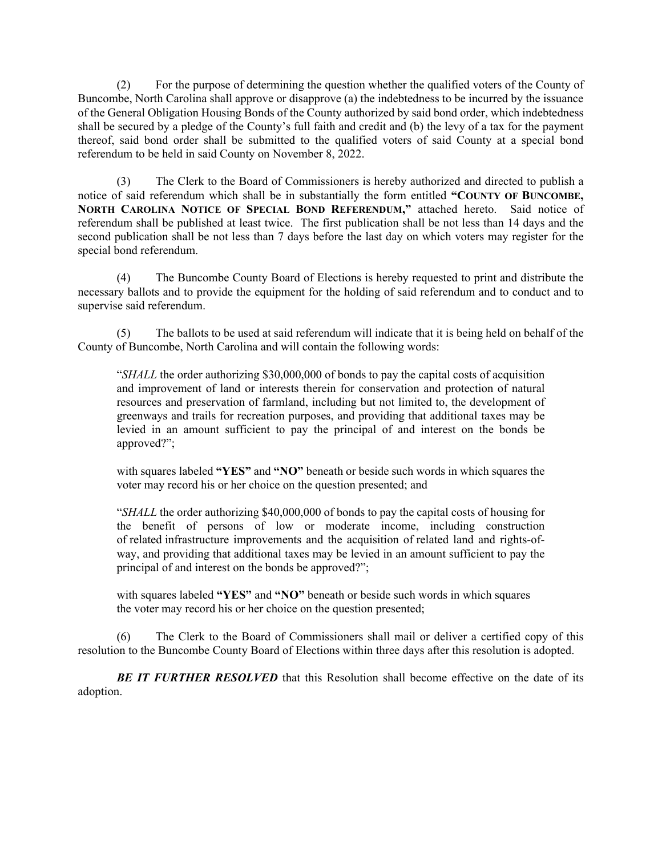(2) For the purpose of determining the question whether the qualified voters of the County of Buncombe, North Carolina shall approve or disapprove (a) the indebtedness to be incurred by the issuance of the General Obligation Housing Bonds of the County authorized by said bond order, which indebtedness shall be secured by a pledge of the County's full faith and credit and (b) the levy of a tax for the payment thereof, said bond order shall be submitted to the qualified voters of said County at a special bond referendum to be held in said County on November 8, 2022.

 (3) The Clerk to the Board of Commissioners is hereby authorized and directed to publish a notice of said referendum which shall be in substantially the form entitled **"COUNTY OF BUNCOMBE, NORTH CAROLINA NOTICE OF SPECIAL BOND REFERENDUM,"** attached hereto. Said notice of referendum shall be published at least twice. The first publication shall be not less than 14 days and the second publication shall be not less than 7 days before the last day on which voters may register for the special bond referendum.

 (4) The Buncombe County Board of Elections is hereby requested to print and distribute the necessary ballots and to provide the equipment for the holding of said referendum and to conduct and to supervise said referendum.

 (5) The ballots to be used at said referendum will indicate that it is being held on behalf of the County of Buncombe, North Carolina and will contain the following words:

"*SHALL* the order authorizing \$30,000,000 of bonds to pay the capital costs of acquisition and improvement of land or interests therein for conservation and protection of natural resources and preservation of farmland, including but not limited to, the development of greenways and trails for recreation purposes, and providing that additional taxes may be levied in an amount sufficient to pay the principal of and interest on the bonds be approved?";

with squares labeled **"YES"** and **"NO"** beneath or beside such words in which squares the voter may record his or her choice on the question presented; and

"*SHALL* the order authorizing \$40,000,000 of bonds to pay the capital costs of housing for the benefit of persons of low or moderate income, including construction of related infrastructure improvements and the acquisition of related land and rights-ofway, and providing that additional taxes may be levied in an amount sufficient to pay the principal of and interest on the bonds be approved?";

with squares labeled "YES" and "NO" beneath or beside such words in which squares the voter may record his or her choice on the question presented;

 (6) The Clerk to the Board of Commissioners shall mail or deliver a certified copy of this resolution to the Buncombe County Board of Elections within three days after this resolution is adopted.

**BE IT FURTHER RESOLVED** that this Resolution shall become effective on the date of its adoption.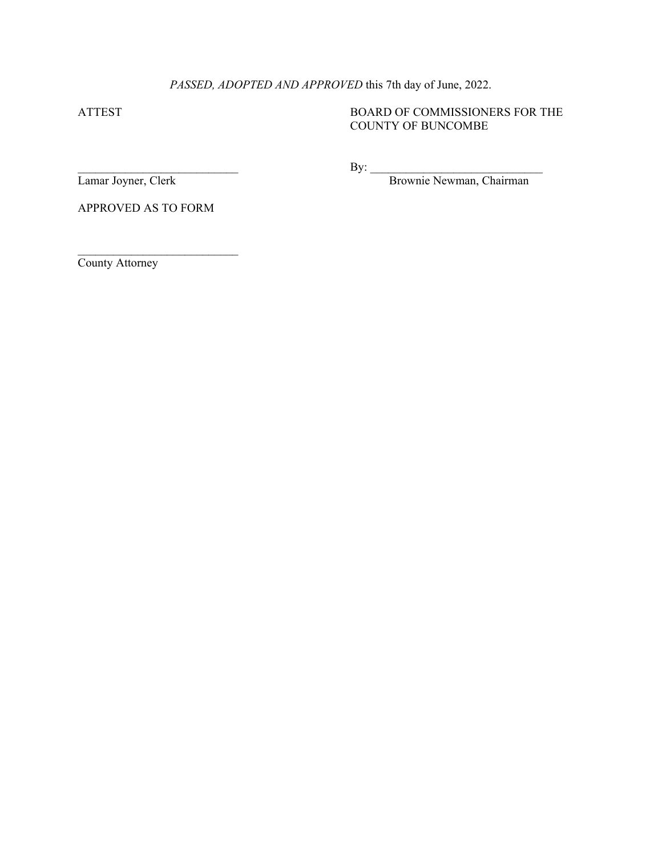# *PASSED, ADOPTED AND APPROVED* this 7th day of June, 2022.

ATTEST BOARD OF COMMISSIONERS FOR THE COUNTY OF BUNCOMBE

 $\rm\,By:$ 

Lamar Joyner, Clerk Brownie Newman, Chairman

APPROVED AS TO FORM

 $\mathcal{L}_\text{max}$ 

County Attorney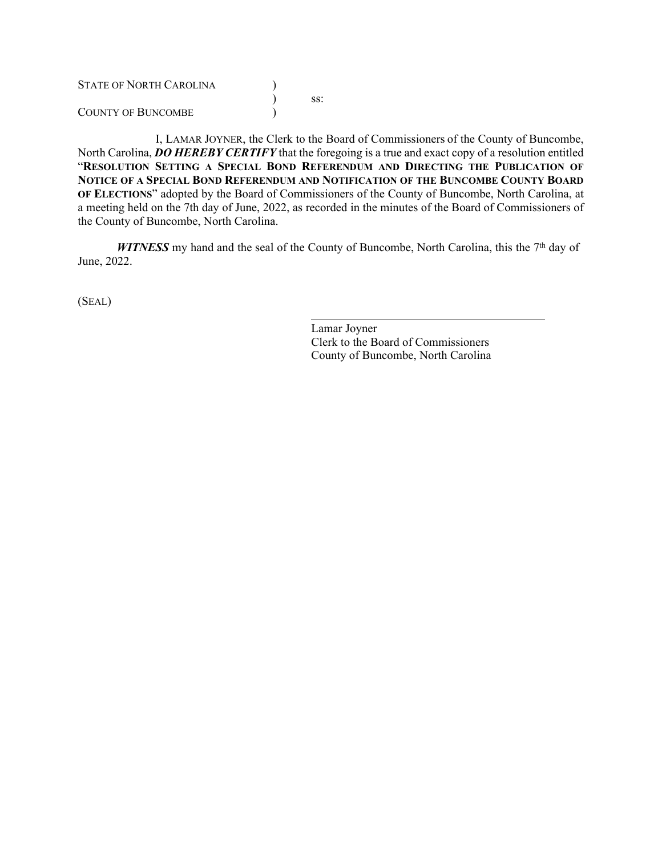| <b>STATE OF NORTH CAROLINA</b> |     |
|--------------------------------|-----|
|                                | SS: |
| COUNTY OF BUNCOMBE             |     |

I, LAMAR JOYNER, the Clerk to the Board of Commissioners of the County of Buncombe, North Carolina, *DO HEREBY CERTIFY* that the foregoing is a true and exact copy of a resolution entitled "**RESOLUTION SETTING A SPECIAL BOND REFERENDUM AND DIRECTING THE PUBLICATION OF NOTICE OF A SPECIAL BOND REFERENDUM AND NOTIFICATION OF THE BUNCOMBE COUNTY BOARD OF ELECTIONS**" adopted by the Board of Commissioners of the County of Buncombe, North Carolina, at a meeting held on the 7th day of June, 2022, as recorded in the minutes of the Board of Commissioners of the County of Buncombe, North Carolina.

WITNESS my hand and the seal of the County of Buncombe, North Carolina, this the 7<sup>th</sup> day of June, 2022.

(SEAL)

Lamar Joyner Clerk to the Board of Commissioners County of Buncombe, North Carolina